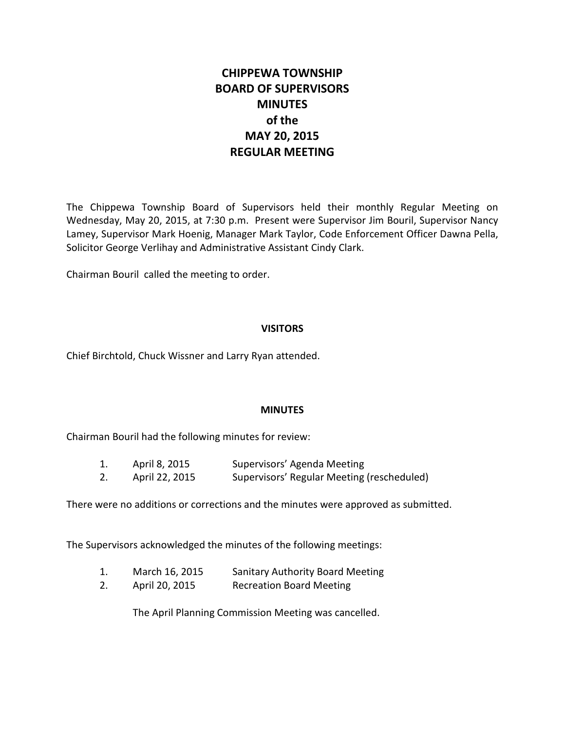# **CHIPPEWA TOWNSHIP BOARD OF SUPERVISORS MINUTES of the MAY 20, 2015 REGULAR MEETING**

The Chippewa Township Board of Supervisors held their monthly Regular Meeting on Wednesday, May 20, 2015, at 7:30 p.m. Present were Supervisor Jim Bouril, Supervisor Nancy Lamey, Supervisor Mark Hoenig, Manager Mark Taylor, Code Enforcement Officer Dawna Pella, Solicitor George Verlihay and Administrative Assistant Cindy Clark.

Chairman Bouril called the meeting to order.

# **VISITORS**

Chief Birchtold, Chuck Wissner and Larry Ryan attended.

# **MINUTES**

Chairman Bouril had the following minutes for review:

| T. | April 8, 2015  | Supervisors' Agenda Meeting                |
|----|----------------|--------------------------------------------|
| 2. | April 22, 2015 | Supervisors' Regular Meeting (rescheduled) |

There were no additions or corrections and the minutes were approved as submitted.

The Supervisors acknowledged the minutes of the following meetings:

- 1. March 16, 2015 Sanitary Authority Board Meeting
- 2. April 20, 2015 Recreation Board Meeting

The April Planning Commission Meeting was cancelled.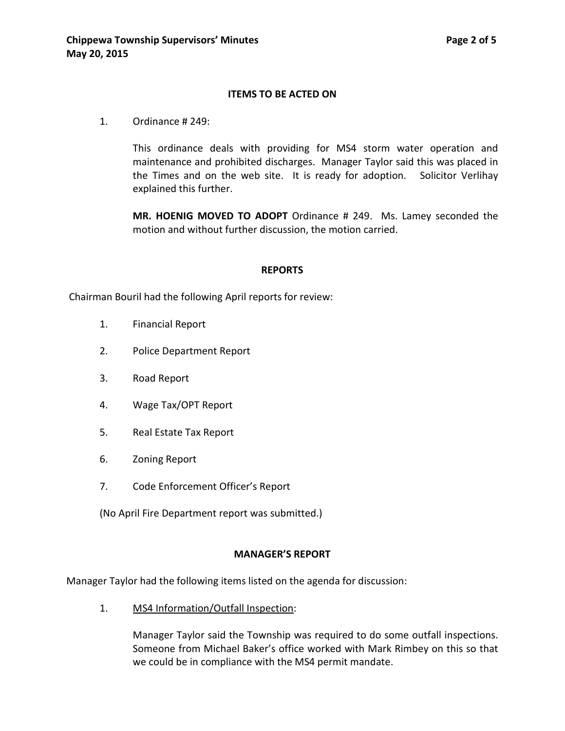#### **ITEMS TO BE ACTED ON**

1. Ordinance # 249:

This ordinance deals with providing for MS4 storm water operation and maintenance and prohibited discharges. Manager Taylor said this was placed in the Times and on the web site. It is ready for adoption. Solicitor Verlihay explained this further.

**MR. HOENIG MOVED TO ADOPT** Ordinance # 249. Ms. Lamey seconded the motion and without further discussion, the motion carried.

#### **REPORTS**

Chairman Bouril had the following April reports for review:

- 1. Financial Report
- 2. Police Department Report
- 3. Road Report
- 4. Wage Tax/OPT Report
- 5. Real Estate Tax Report
- 6. Zoning Report
- 7. Code Enforcement Officer's Report

(No April Fire Department report was submitted.)

#### **MANAGER'S REPORT**

Manager Taylor had the following items listed on the agenda for discussion:

1. MS4 Information/Outfall Inspection:

Manager Taylor said the Township was required to do some outfall inspections. Someone from Michael Baker's office worked with Mark Rimbey on this so that we could be in compliance with the MS4 permit mandate.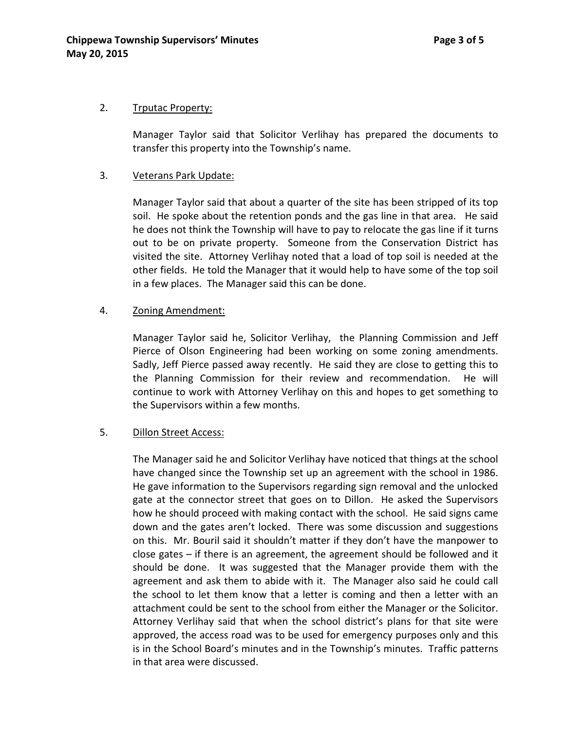#### 2. Trputac Property:

Manager Taylor said that Solicitor Verlihay has prepared the documents to transfer this property into the Township's name.

#### 3. Veterans Park Update:

Manager Taylor said that about a quarter of the site has been stripped of its top soil. He spoke about the retention ponds and the gas line in that area. He said he does not think the Township will have to pay to relocate the gas line if it turns out to be on private property. Someone from the Conservation District has visited the site. Attorney Verlihay noted that a load of top soil is needed at the other fields. He told the Manager that it would help to have some of the top soil in a few places. The Manager said this can be done.

# 4. Zoning Amendment:

Manager Taylor said he, Solicitor Verlihay, the Planning Commission and Jeff Pierce of Olson Engineering had been working on some zoning amendments. Sadly, Jeff Pierce passed away recently. He said they are close to getting this to the Planning Commission for their review and recommendation. He will continue to work with Attorney Verlihay on this and hopes to get something to the Supervisors within a few months.

# 5. Dillon Street Access:

The Manager said he and Solicitor Verlihay have noticed that things at the school have changed since the Township set up an agreement with the school in 1986. He gave information to the Supervisors regarding sign removal and the unlocked gate at the connector street that goes on to Dillon. He asked the Supervisors how he should proceed with making contact with the school. He said signs came down and the gates aren't locked. There was some discussion and suggestions on this. Mr. Bouril said it shouldn't matter if they don't have the manpower to close gates – if there is an agreement, the agreement should be followed and it should be done. It was suggested that the Manager provide them with the agreement and ask them to abide with it. The Manager also said he could call the school to let them know that a letter is coming and then a letter with an attachment could be sent to the school from either the Manager or the Solicitor. Attorney Verlihay said that when the school district's plans for that site were approved, the access road was to be used for emergency purposes only and this is in the School Board's minutes and in the Township's minutes. Traffic patterns in that area were discussed.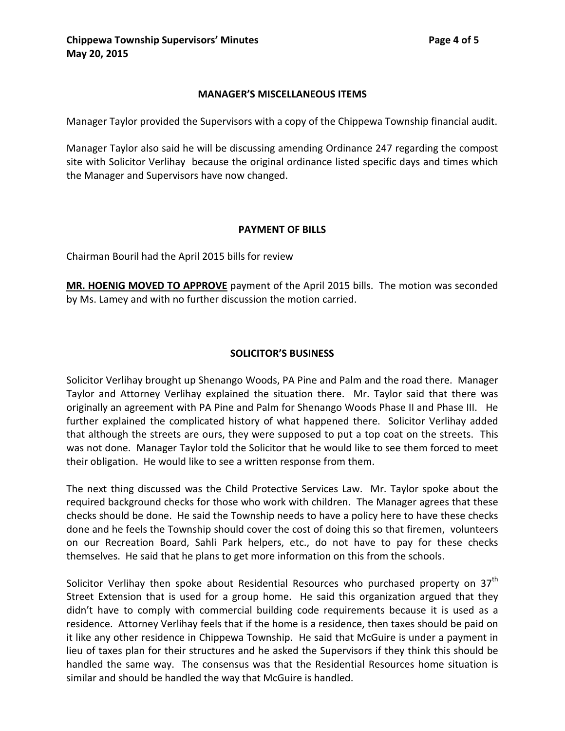#### **MANAGER'S MISCELLANEOUS ITEMS**

Manager Taylor provided the Supervisors with a copy of the Chippewa Township financial audit.

Manager Taylor also said he will be discussing amending Ordinance 247 regarding the compost site with Solicitor Verlihay because the original ordinance listed specific days and times which the Manager and Supervisors have now changed.

#### **PAYMENT OF BILLS**

Chairman Bouril had the April 2015 bills for review

**MR. HOENIG MOVED TO APPROVE** payment of the April 2015 bills. The motion was seconded by Ms. Lamey and with no further discussion the motion carried.

# **SOLICITOR'S BUSINESS**

Solicitor Verlihay brought up Shenango Woods, PA Pine and Palm and the road there. Manager Taylor and Attorney Verlihay explained the situation there. Mr. Taylor said that there was originally an agreement with PA Pine and Palm for Shenango Woods Phase II and Phase III. He further explained the complicated history of what happened there. Solicitor Verlihay added that although the streets are ours, they were supposed to put a top coat on the streets. This was not done. Manager Taylor told the Solicitor that he would like to see them forced to meet their obligation. He would like to see a written response from them.

The next thing discussed was the Child Protective Services Law. Mr. Taylor spoke about the required background checks for those who work with children. The Manager agrees that these checks should be done. He said the Township needs to have a policy here to have these checks done and he feels the Township should cover the cost of doing this so that firemen, volunteers on our Recreation Board, Sahli Park helpers, etc., do not have to pay for these checks themselves. He said that he plans to get more information on this from the schools.

Solicitor Verlihay then spoke about Residential Resources who purchased property on 37<sup>th</sup> Street Extension that is used for a group home. He said this organization argued that they didn't have to comply with commercial building code requirements because it is used as a residence. Attorney Verlihay feels that if the home is a residence, then taxes should be paid on it like any other residence in Chippewa Township. He said that McGuire is under a payment in lieu of taxes plan for their structures and he asked the Supervisors if they think this should be handled the same way. The consensus was that the Residential Resources home situation is similar and should be handled the way that McGuire is handled.